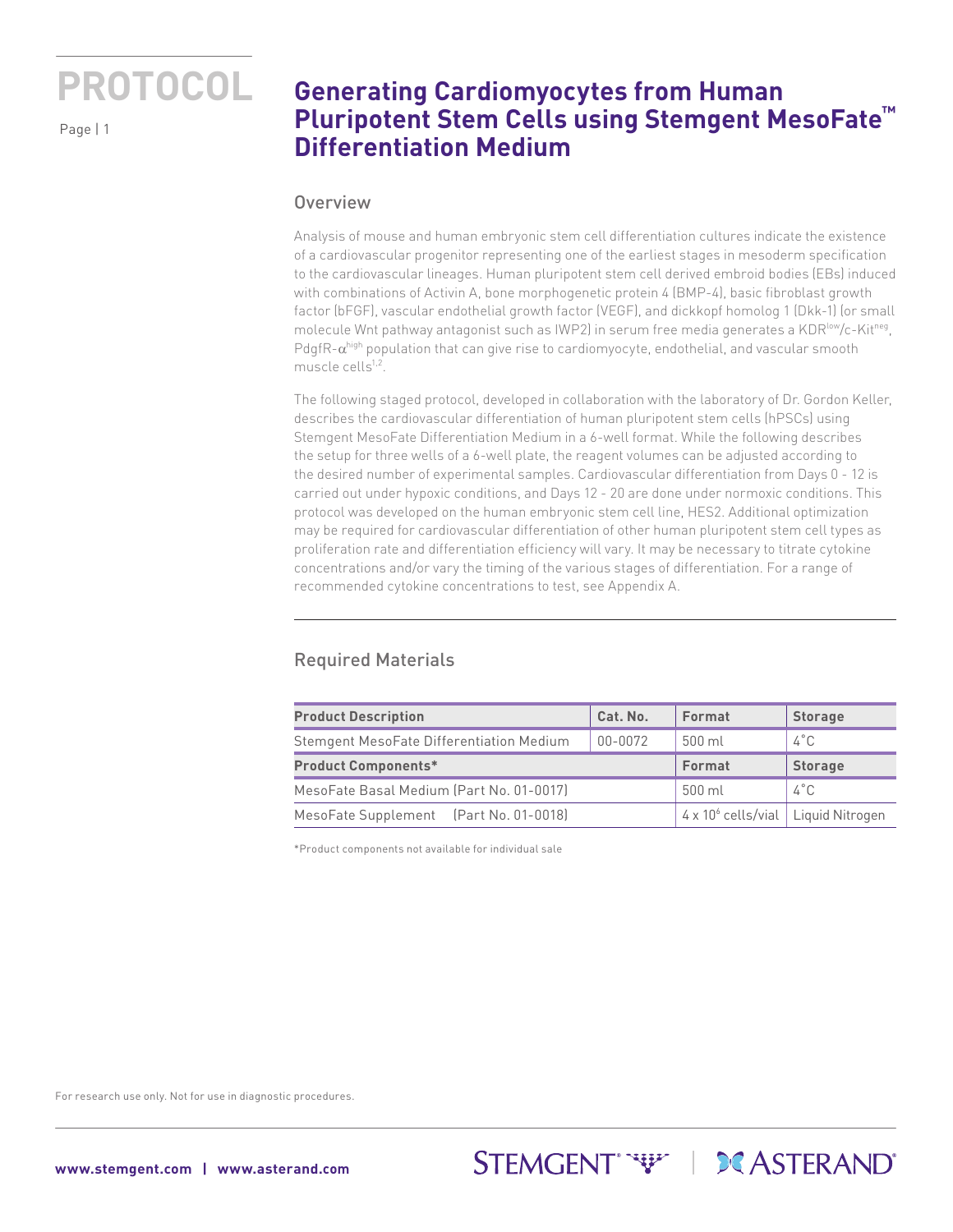Page | 1

## **Generating Cardiomyocytes from Human Pluripotent Stem Cells using Stemgent MesoFate™ Differentiation Medium**

#### **Overview**

Analysis of mouse and human embryonic stem cell differentiation cultures indicate the existence of a cardiovascular progenitor representing one of the earliest stages in mesoderm specification to the cardiovascular lineages. Human pluripotent stem cell derived embroid bodies (EBs) induced with combinations of Activin A, bone morphogenetic protein 4 (BMP-4), basic fibroblast growth factor (bFGF), vascular endothelial growth factor (VEGF), and dickkopf homolog 1 (Dkk-1) (or small molecule Wnt pathway antagonist such as IWP2) in serum free media generates a KDR<sup>low</sup>/c-Kit<sup>neg</sup>, PdgfR-α<sup>high</sup> population that can give rise to cardiomyocyte, endothelial, and vascular smooth muscle cells $1,2$ .

The following staged protocol, developed in collaboration with the laboratory of Dr. Gordon Keller, describes the cardiovascular differentiation of human pluripotent stem cells (hPSCs) using Stemgent MesoFate Differentiation Medium in a 6-well format. While the following describes the setup for three wells of a 6-well plate, the reagent volumes can be adjusted according to the desired number of experimental samples. Cardiovascular differentiation from Days 0 - 12 is carried out under hypoxic conditions, and Days 12 - 20 are done under normoxic conditions. This protocol was developed on the human embryonic stem cell line, HES2. Additional optimization may be required for cardiovascular differentiation of other human pluripotent stem cell types as proliferation rate and differentiation efficiency will vary. It may be necessary to titrate cytokine concentrations and/or vary the timing of the various stages of differentiation. For a range of recommended cytokine concentrations to test, see Appendix A.

### Required Materials

| <b>Product Description</b>               | Cat. No.                                         | Format         | <b>Storage</b> |
|------------------------------------------|--------------------------------------------------|----------------|----------------|
| Stemgent MesoFate Differentiation Medium | 00-0072                                          | 500 ml         | $4^{\circ}$ C  |
| <b>Product Components*</b>               | Format                                           | <b>Storage</b> |                |
| MesoFate Basal Medium (Part No. 01-0017) | 500 ml                                           | 4°C            |                |
| MesoFate Supplement (Part No. 01-0018)   | 4 x 10 <sup>6</sup> cells/vial   Liquid Nitrogen |                |                |

STEMGENT<sup>\*</sup>\*\*\*\* | **DC** ASTERAND<sup>\*</sup>

\*Product components not available for individual sale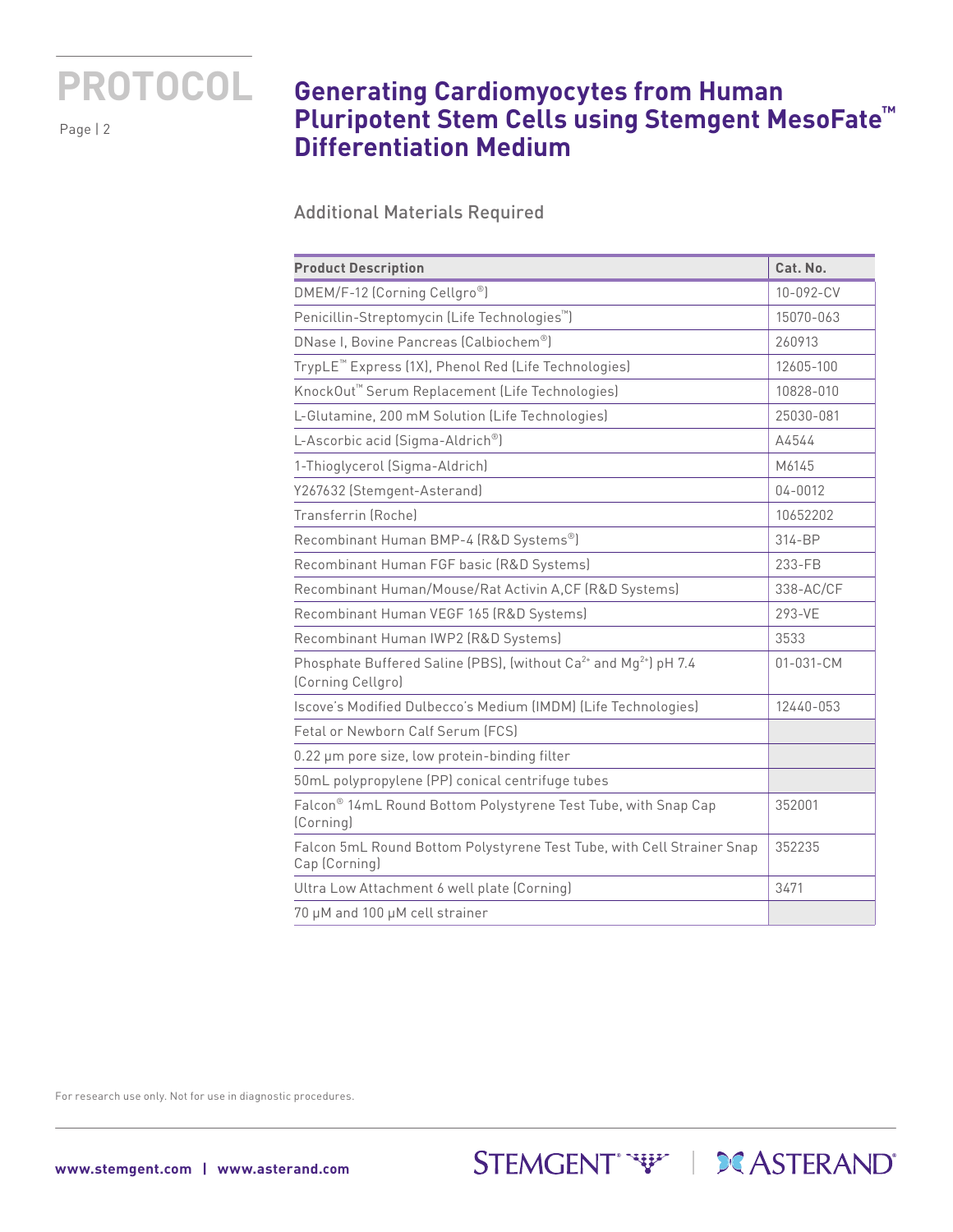Page | 2

## **Generating Cardiomyocytes from Human Pluripotent Stem Cells using Stemgent MesoFate™ Differentiation Medium**

Additional Materials Required

| <b>Product Description</b>                                                                                    | Cat. No.   |
|---------------------------------------------------------------------------------------------------------------|------------|
| DMEM/F-12 (Corning Cellgro®)                                                                                  | 10-092-CV  |
| Penicillin-Streptomycin (Life Technologies <sup>™</sup> )                                                     | 15070-063  |
| DNase I, Bovine Pancreas (Calbiochem <sup>®</sup> )                                                           | 260913     |
| TrypLE <sup>™</sup> Express (1X), Phenol Red (Life Technologies)                                              | 12605-100  |
| KnockOut <sup>™</sup> Serum Replacement (Life Technologies)                                                   | 10828-010  |
| L-Glutamine, 200 mM Solution (Life Technologies)                                                              | 25030-081  |
| L-Ascorbic acid (Sigma-Aldrich <sup>®</sup> )                                                                 | A4544      |
| 1-Thioglycerol (Sigma-Aldrich)                                                                                | M6145      |
| Y267632 (Stemgent-Asterand)                                                                                   | 04-0012    |
| Transferrin (Roche)                                                                                           | 10652202   |
| Recombinant Human BMP-4 (R&D Systems®)                                                                        | $314 - BP$ |
| Recombinant Human FGF basic (R&D Systems)                                                                     | 233-FB     |
| Recombinant Human/Mouse/Rat Activin A,CF (R&D Systems)                                                        | 338-AC/CF  |
| Recombinant Human VEGF 165 (R&D Systems)                                                                      | 293-VE     |
| Recombinant Human IWP2 (R&D Systems)                                                                          | 3533       |
| Phosphate Buffered Saline (PBS), (without Ca <sup>2+</sup> and Mg <sup>2+</sup> ) pH 7.4<br>(Corning Cellgro) | 01-031-CM  |
| Iscove's Modified Dulbecco's Medium (IMDM) (Life Technologies)                                                | 12440-053  |
| Fetal or Newborn Calf Serum (FCS)                                                                             |            |
| 0.22 µm pore size, low protein-binding filter                                                                 |            |
| 50mL polypropylene (PP) conical centrifuge tubes                                                              |            |
| Falcon® 14mL Round Bottom Polystyrene Test Tube, with Snap Cap<br>(Corning)                                   | 352001     |
| Falcon 5mL Round Bottom Polystyrene Test Tube, with Cell Strainer Snap<br>Cap (Corning)                       | 352235     |
| Ultra Low Attachment 6 well plate (Corning)                                                                   | 3471       |
| 70 µM and 100 µM cell strainer                                                                                |            |

STEMGENT<sup>\*</sup>\*\*\*\* | **DCASTERAND**\*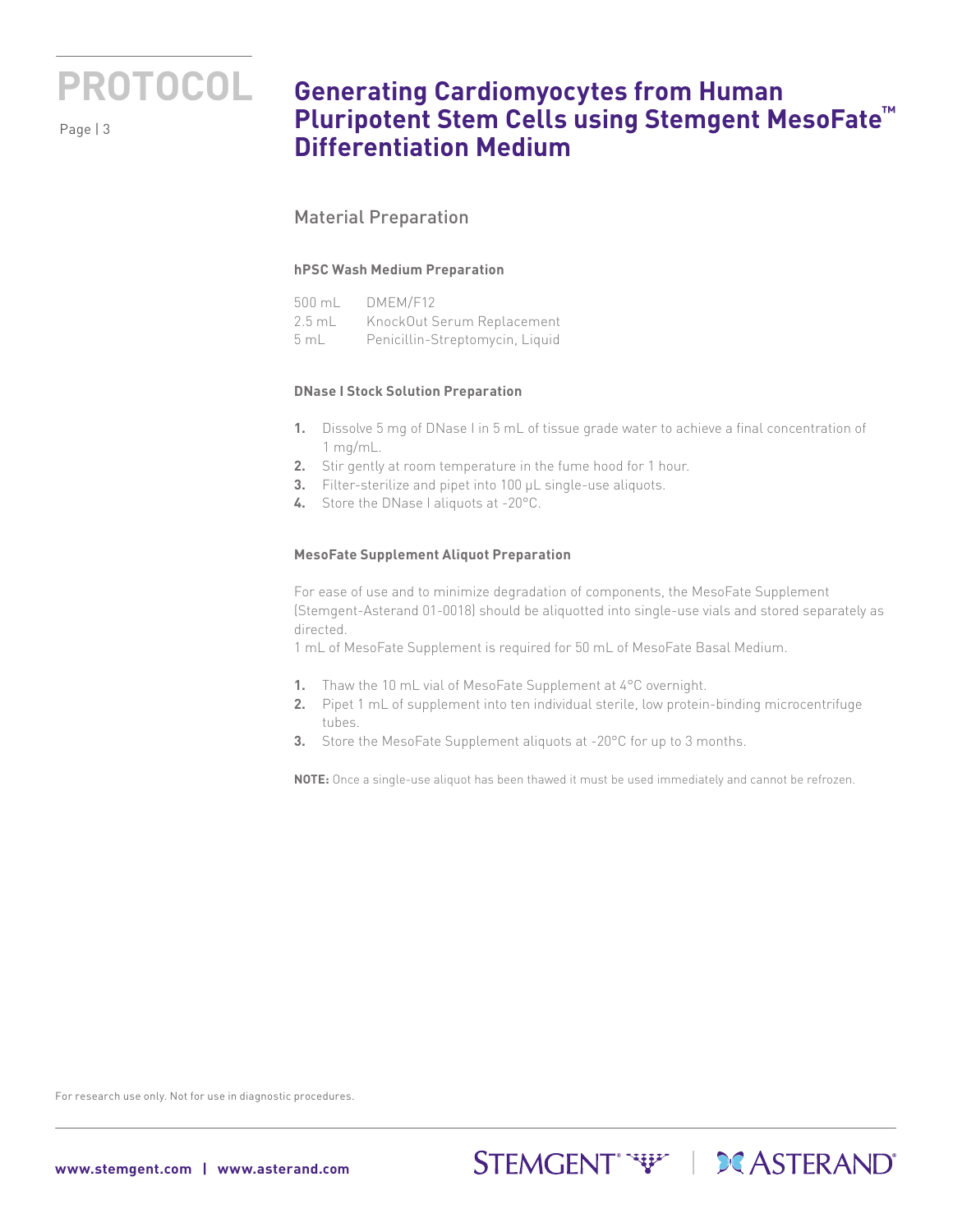

## **Generating Cardiomyocytes from Human Pluripotent Stem Cells using Stemgent MesoFate™ Differentiation Medium**

### Material Preparation

#### **hPSC Wash Medium Preparation**

|      | 500 mL DMEM/F12                   |
|------|-----------------------------------|
|      | 2.5 mL KnockOut Serum Replacement |
| 5 mL | Penicillin-Streptomycin, Liquid   |

#### **DNase I Stock Solution Preparation**

- **1.** Dissolve 5 mg of DNase I in 5 mL of tissue grade water to achieve a final concentration of 1 mg/mL.
- **2.** Stir gently at room temperature in the fume hood for 1 hour.
- **3.** Filter-sterilize and pipet into 100 µL single-use aliquots.
- **4.** Store the DNase I aliquots at -20°C.

#### **MesoFate Supplement Aliquot Preparation**

For ease of use and to minimize degradation of components, the MesoFate Supplement (Stemgent-Asterand 01-0018) should be aliquotted into single-use vials and stored separately as directed.

1 mL of MesoFate Supplement is required for 50 mL of MesoFate Basal Medium.

- **1.** Thaw the 10 mL vial of MesoFate Supplement at 4°C overnight.
- **2.** Pipet 1 mL of supplement into ten individual sterile, low protein-binding microcentrifuge tubes.
- **3.** Store the MesoFate Supplement aliquots at -20°C for up to 3 months.

**NOTE:** Once a single-use aliquot has been thawed it must be used immediately and cannot be refrozen.

STEMGENT<sup>\*</sup>\*\*\*\* | **DCASTERAND**\*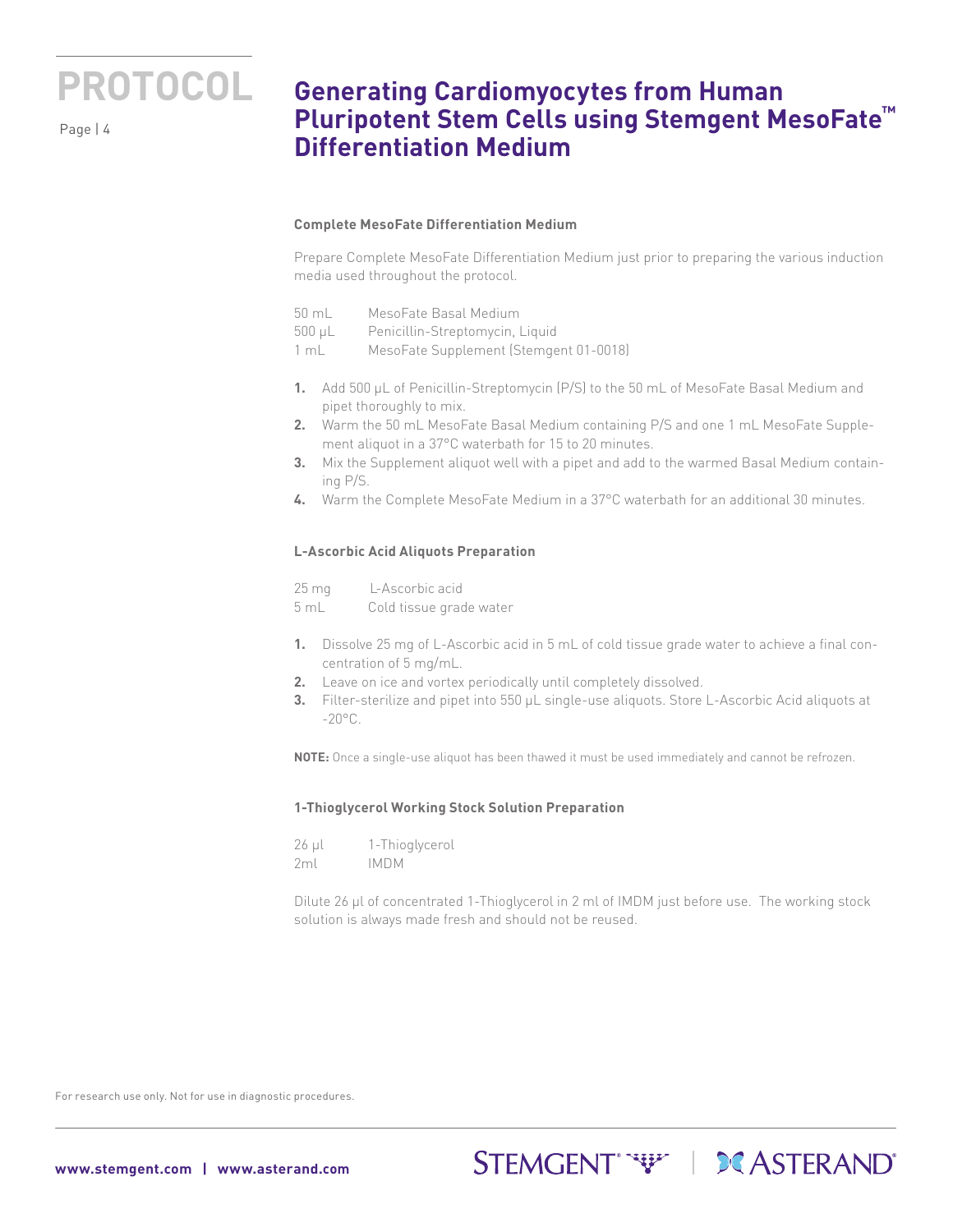Page | 4

## **Generating Cardiomyocytes from Human Pluripotent Stem Cells using Stemgent MesoFate™ Differentiation Medium**

#### **Complete MesoFate Differentiation Medium**

Prepare Complete MesoFate Differentiation Medium just prior to preparing the various induction media used throughout the protocol.

500 µL Penicillin-Streptomycin, Liquid

1 mL MesoFate Supplement (Stemgent 01-0018)

- **1.** Add 500 µL of Penicillin-Streptomycin (P/S) to the 50 mL of MesoFate Basal Medium and pipet thoroughly to mix.
- **2.** Warm the 50 mL MesoFate Basal Medium containing P/S and one 1 mL MesoFate Supplement aliquot in a 37°C waterbath for 15 to 20 minutes.
- **3.** Mix the Supplement aliquot well with a pipet and add to the warmed Basal Medium containing P/S.
- **4.** Warm the Complete MesoFate Medium in a 37°C waterbath for an additional 30 minutes.

#### **L-Ascorbic Acid Aliquots Preparation**

25 mg L-Ascorbic acid 5 mL Cold tissue grade water

- **1.** Dissolve 25 mg of L-Ascorbic acid in 5 mL of cold tissue grade water to achieve a final concentration of 5 mg/mL.
- **2.** Leave on ice and vortex periodically until completely dissolved.
- **3.** Filter-sterilize and pipet into 550 µL single-use aliquots. Store L-Ascorbic Acid aliquots at  $-20^{\circ}$ C.

**NOTE:** Once a single-use aliquot has been thawed it must be used immediately and cannot be refrozen.

#### **1-Thioglycerol Working Stock Solution Preparation**

| 26 µl | 1-Thioglycerol |
|-------|----------------|
| 2ml   | IMDM           |

Dilute 26 µl of concentrated 1-Thioglycerol in 2 ml of IMDM just before use. The working stock solution is always made fresh and should not be reused.

STEMGENT<sup>\*</sup>\*\*\*\* | **DC** ASTERAND'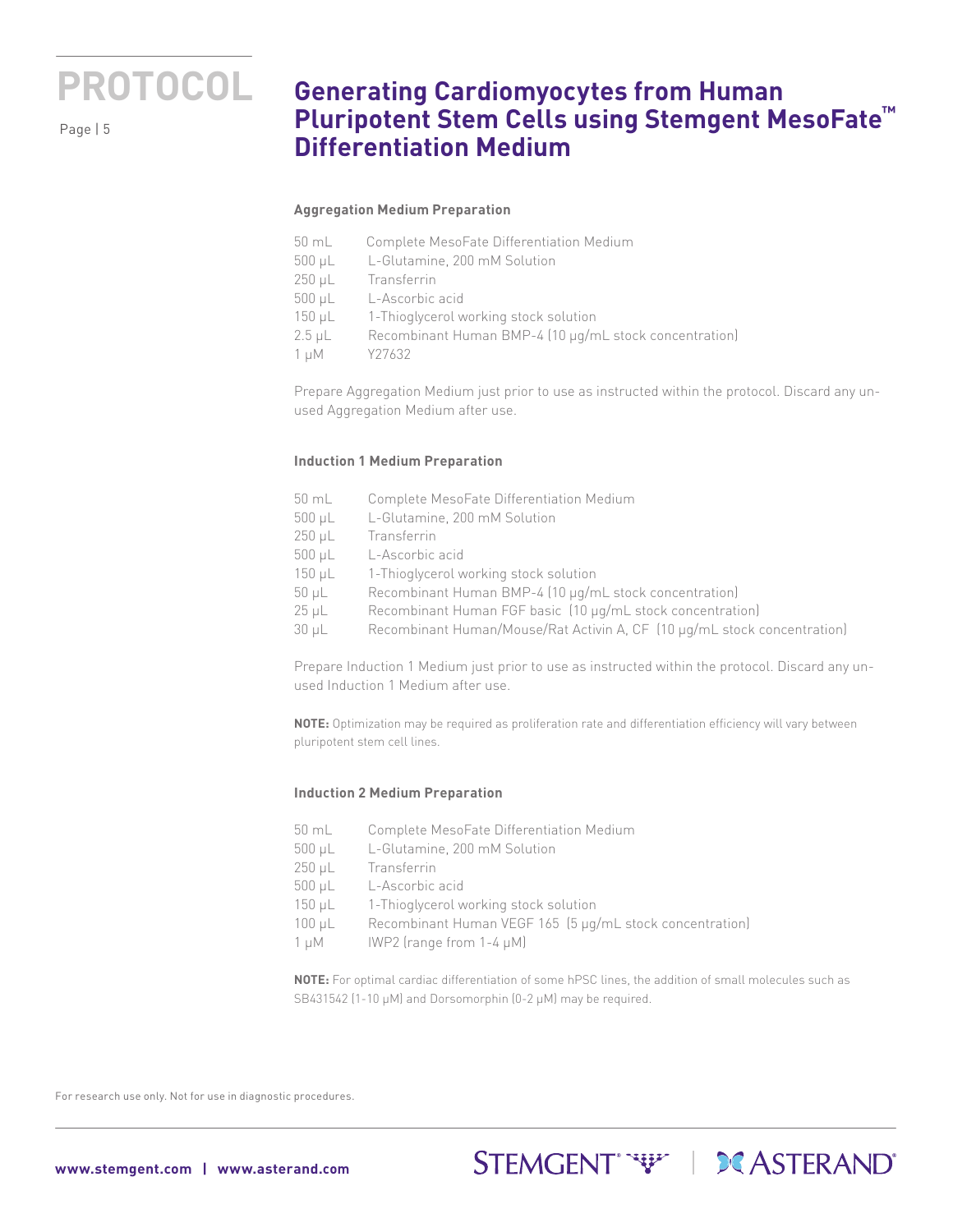

## **Generating Cardiomyocytes from Human Pluripotent Stem Cells using Stemgent MesoFate™ Differentiation Medium**

#### **Aggregation Medium Preparation**

- 50 mL Complete MesoFate Differentiation Medium
- 500 μL L-Glutamine, 200 mM Solution
- 250 μL Transferrin
- 500 μL L-Ascorbic acid
- 150 μL 1-Thioglycerol working stock solution
- 2.5 μL Recombinant Human BMP-4 (10 µg/mL stock concentration)
- 1 µM Y27632

Prepare Aggregation Medium just prior to use as instructed within the protocol. Discard any unused Aggregation Medium after use.

#### **Induction 1 Medium Preparation**

- 50 mL Complete MesoFate Differentiation Medium
- 500 μL L-Glutamine, 200 mM Solution
- 250 μL Transferrin
- 500 μL L-Ascorbic acid
- 150 μL 1-Thioglycerol working stock solution
- 50 μL Recombinant Human BMP-4 (10 µg/mL stock concentration)
- 25 μL Recombinant Human FGF basic (10 µg/mL stock concentration)
- 30 μL Recombinant Human/Mouse/Rat Activin A, CF (10 µg/mL stock concentration)

Prepare Induction 1 Medium just prior to use as instructed within the protocol. Discard any unused Induction 1 Medium after use.

**NOTE:** Optimization may be required as proliferation rate and differentiation efficiency will vary between pluripotent stem cell lines.

#### **Induction 2 Medium Preparation**

- 50 mL Complete MesoFate Differentiation Medium 500 μL L-Glutamine, 200 mM Solution 250 μL Transferrin 500 μL L-Ascorbic acid 150 μL 1-Thioglycerol working stock solution 100 μL Recombinant Human VEGF 165 (5 µg/mL stock concentration)
- $1 \mu$ M IWP2 (range from  $1-4 \mu$ M)

**NOTE:** For optimal cardiac differentiation of some hPSC lines, the addition of small molecules such as SB431542 (1-10 μM) and Dorsomorphin (0-2 μM) may be required.

STEMGENT<sup>\*</sup>\*\*\*\* | **DC** ASTERAND<sup>\*</sup>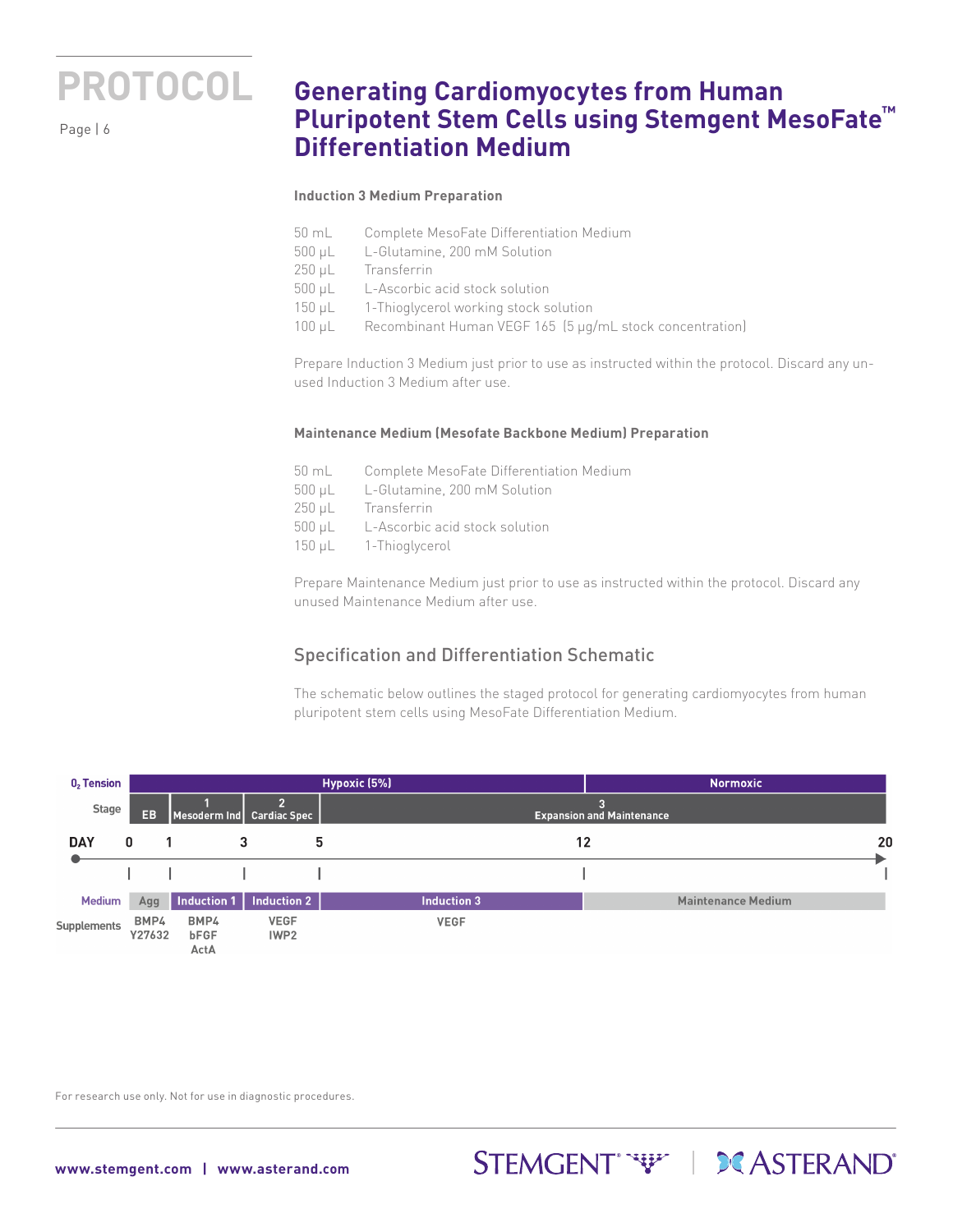

## **Generating Cardiomyocytes from Human Pluripotent Stem Cells using Stemgent MesoFate™ Differentiation Medium**

#### **Induction 3 Medium Preparation**

- 50 mL Complete MesoFate Differentiation Medium
- 500 μL L-Glutamine, 200 mM Solution
- 250 μL Transferrin
- 500 μL L-Ascorbic acid stock solution
- 150 μL 1-Thioglycerol working stock solution
- 100 μL Recombinant Human VEGF 165 (5 µg/mL stock concentration)

Prepare Induction 3 Medium just prior to use as instructed within the protocol. Discard any unused Induction 3 Medium after use.

#### **Maintenance Medium (Mesofate Backbone Medium) Preparation**

- 50 mL Complete MesoFate Differentiation Medium 500 μL L-Glutamine, 200 mM Solution 250 μL Transferrin 500 μL L-Ascorbic acid stock solution
- 150 μL 1-Thioglycerol

Prepare Maintenance Medium just prior to use as instructed within the protocol. Discard any unused Maintenance Medium after use.

### Specification and Differentiation Schematic

The schematic below outlines the staged protocol for generating cardiomyocytes from human pluripotent stem cells using MesoFate Differentiation Medium.

STEMGENT WE STERAND

| $02$ Tension       |                |                                      |                                 | Hypoxic (5%)       | Normoxic,                        |
|--------------------|----------------|--------------------------------------|---------------------------------|--------------------|----------------------------------|
| <b>Stage</b>       | EB             | Mesoderm Ind                         | <b>Cardiac Spec</b>             |                    | <b>Expansion and Maintenance</b> |
| <b>DAY</b>         | 0              | 3                                    |                                 | 5                  | 20<br>12                         |
|                    |                |                                      |                                 |                    |                                  |
| <b>Medium</b>      | Agg            | Induction 1                          | <b>Induction 2</b>              | <b>Induction 3</b> | <b>Maintenance Medium</b>        |
| <b>Supplements</b> | BMP4<br>Y27632 | BMP4<br>bFGF<br>$\Delta$ ct $\Delta$ | <b>VEGF</b><br>IWP <sub>2</sub> | <b>VEGF</b>        |                                  |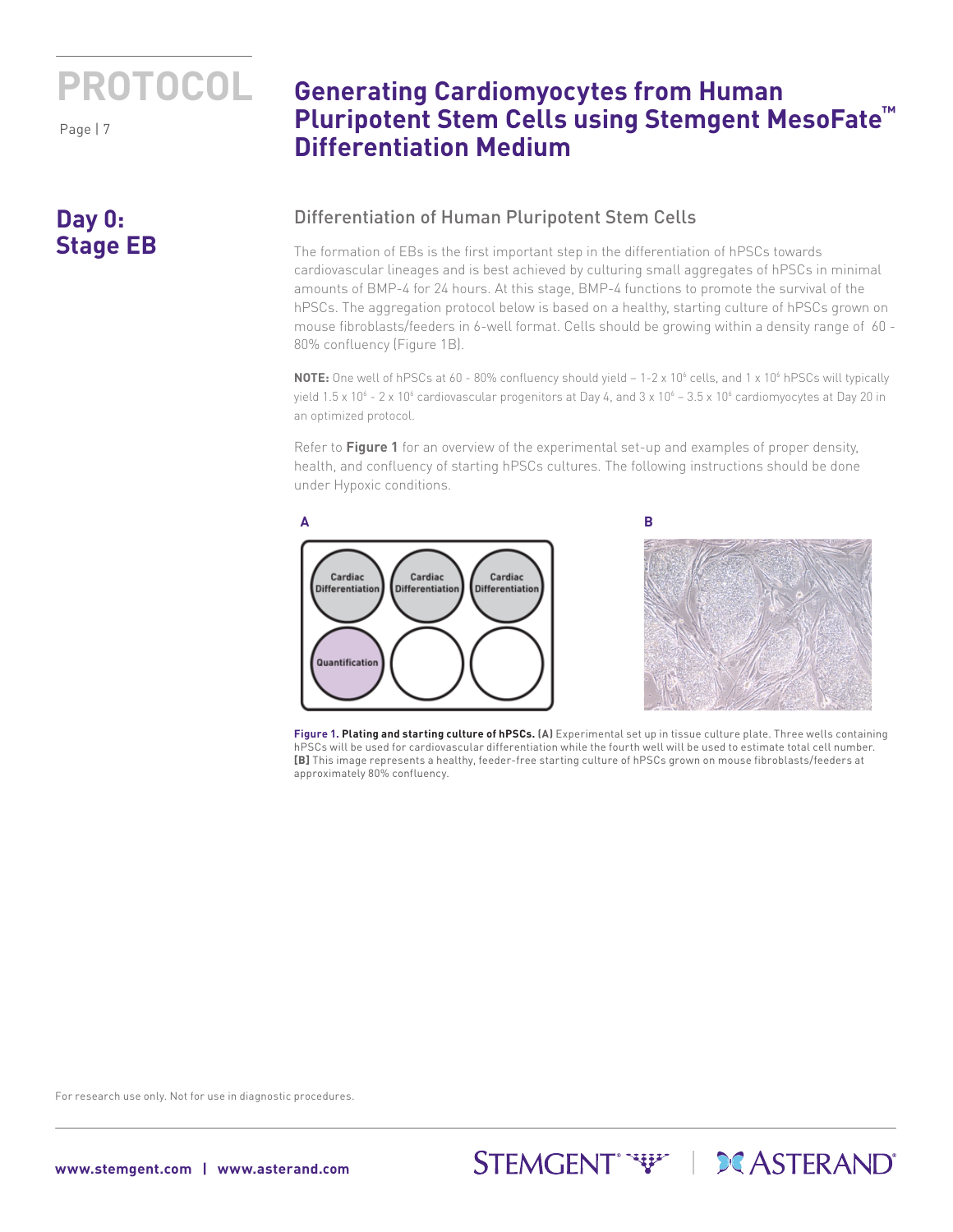Page | 7

## **Day 0: Stage EB**

## **Generating Cardiomyocytes from Human Pluripotent Stem Cells using Stemgent MesoFate™ Differentiation Medium**

### Differentiation of Human Pluripotent Stem Cells

The formation of EBs is the first important step in the differentiation of hPSCs towards cardiovascular lineages and is best achieved by culturing small aggregates of hPSCs in minimal amounts of BMP-4 for 24 hours. At this stage, BMP-4 functions to promote the survival of the hPSCs. The aggregation protocol below is based on a healthy, starting culture of hPSCs grown on mouse fibroblasts/feeders in 6-well format. Cells should be growing within a density range of 60 - 80% confluency (Figure 1B).

NOTE: One well of hPSCs at 60 - 80% confluency should yield - 1-2 x 10<sup>6</sup> cells, and 1 x 10<sup>6</sup> hPSCs will typically yield 1.5 x 10 $^6$  - 2 x 10 $^6$  cardiovascular progenitors at Day 4, and 3 x 10 $^6$  – 3.5 x 10 $^6$  cardiomyocytes at Day 20 in an optimized protocol.

Refer to **Figure 1** for an overview of the experimental set-up and examples of proper density, health, and confluency of starting hPSCs cultures. The following instructions should be done under Hypoxic conditions.



**Figure 1. Plating and starting culture of hPSCs. (A)** Experimental set up in tissue culture plate. Three wells containing hPSCs will be used for cardiovascular differentiation while the fourth well will be used to estimate total cell number. **[B]** This image represents a healthy, feeder-free starting culture of hPSCs grown on mouse fibroblasts/feeders at approximately 80% confluency.

STEMGENT<sup>\*</sup>\*\*\*\* | **DCASTERAND**\*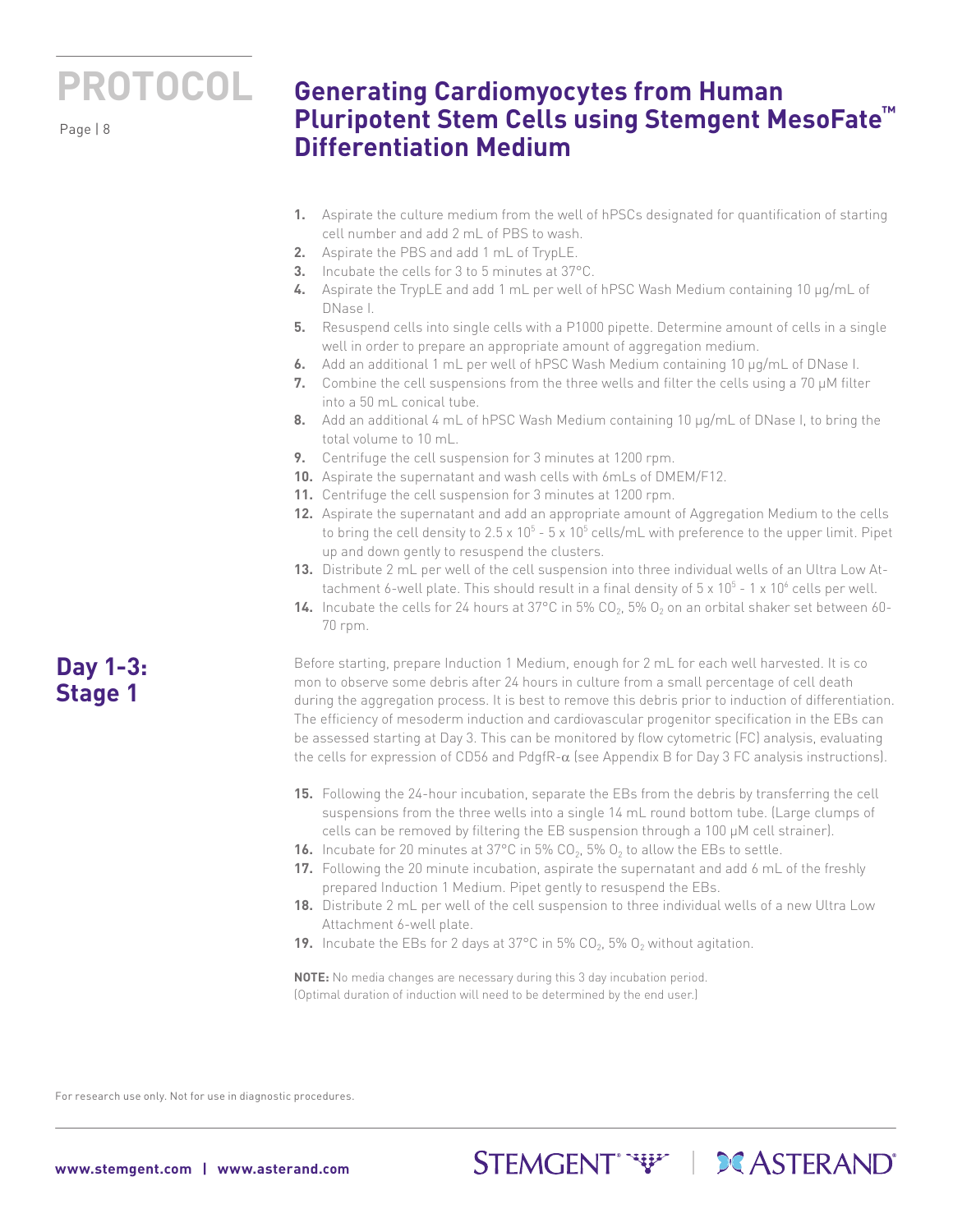Page | 8

## **Generating Cardiomyocytes from Human Pluripotent Stem Cells using Stemgent MesoFate™ Differentiation Medium**

- **1.** Aspirate the culture medium from the well of hPSCs designated for quantification of starting cell number and add 2 mL of PBS to wash.
- **2.** Aspirate the PBS and add 1 mL of TrypLE.
- **3.** Incubate the cells for 3 to 5 minutes at 37°C.
- **4.** Aspirate the TrypLE and add 1 mL per well of hPSC Wash Medium containing 10 µg/mL of DNase I.
- **5.** Resuspend cells into single cells with a P1000 pipette. Determine amount of cells in a single well in order to prepare an appropriate amount of aggregation medium.
- **6.** Add an additional 1 mL per well of hPSC Wash Medium containing 10 µg/mL of DNase I.
- **7.** Combine the cell suspensions from the three wells and filter the cells using a 70 µM filter into a 50 mL conical tube.
- **8.** Add an additional 4 mL of hPSC Wash Medium containing 10 µg/mL of DNase I, to bring the total volume to 10 mL.
- **9.** Centrifuge the cell suspension for 3 minutes at 1200 rpm.
- **10.** Aspirate the supernatant and wash cells with 6mLs of DMEM/F12.
- **11.** Centrifuge the cell suspension for 3 minutes at 1200 rpm.
- **12.** Aspirate the supernatant and add an appropriate amount of Aggregation Medium to the cells to bring the cell density to 2.5 x 10 $^5$  - 5 x 10 $^5$  cells/mL with preference to the upper limit. Pipet up and down gently to resuspend the clusters.
- **13.** Distribute 2 mL per well of the cell suspension into three individual wells of an Ultra Low Attachment 6-well plate. This should result in a final density of 5 x 10 $^5$  - 1 x 10 $^6$  cells per well.
- **14.** Incubate the cells for 24 hours at  $37^{\circ}$ C in 5% CO<sub>2</sub>, 5% O<sub>2</sub> on an orbital shaker set between 60-70 rpm.

Before starting, prepare Induction 1 Medium, enough for 2 mL for each well harvested. It is co mon to observe some debris after 24 hours in culture from a small percentage of cell death during the aggregation process. It is best to remove this debris prior to induction of differentiation. The efficiency of mesoderm induction and cardiovascular progenitor specification in the EBs can be assessed starting at Day 3. This can be monitored by flow cytometric (FC) analysis, evaluating the cells for expression of CD56 and PdgfR-α (see Appendix B for Day 3 FC analysis instructions).

- **15.** Following the 24-hour incubation, separate the EBs from the debris by transferring the cell suspensions from the three wells into a single 14 mL round bottom tube. (Large clumps of cells can be removed by filtering the EB suspension through a 100 µM cell strainer).
- **16.** Incubate for 20 minutes at 37°C in 5%  $CO<sub>2</sub>$ , 5%  $O<sub>2</sub>$  to allow the EBs to settle.
- **17.** Following the 20 minute incubation, aspirate the supernatant and add 6 mL of the freshly prepared Induction 1 Medium. Pipet gently to resuspend the EBs.
- **18.** Distribute 2 mL per well of the cell suspension to three individual wells of a new Ultra Low Attachment 6-well plate.

STEMGENT<sup>"</sup> "\" | DCASTERAND"

**19.** Incubate the EBs for 2 days at  $37^{\circ}$ C in 5% CO<sub>2</sub>, 5% O<sub>2</sub> without agitation.

**NOTE:** No media changes are necessary during this 3 day incubation period. (Optimal duration of induction will need to be determined by the end user.)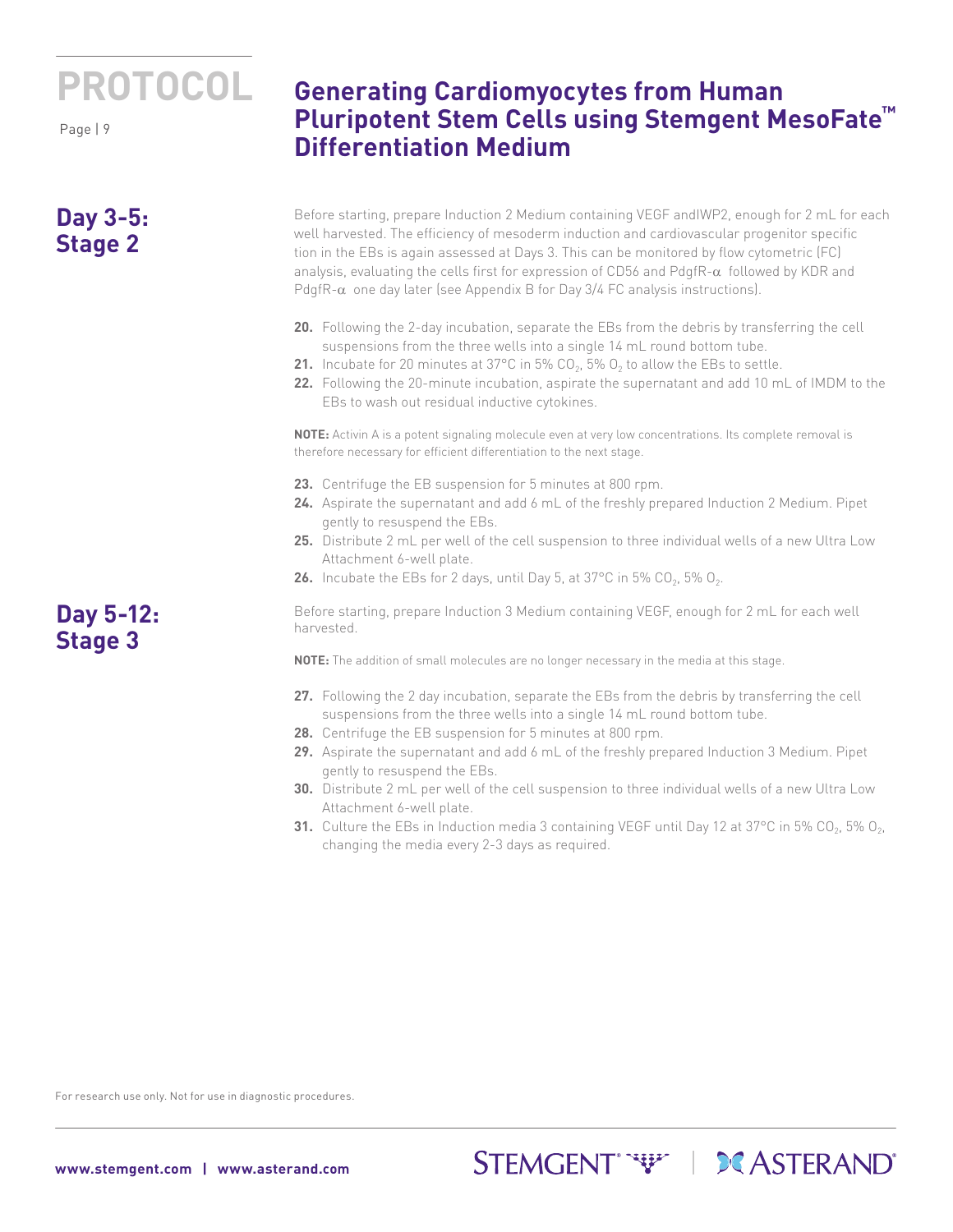Page | 9

## **Day 3-5: Stage 2**

**Generating Cardiomyocytes from Human Pluripotent Stem Cells using Stemgent MesoFate™ Differentiation Medium**

Before starting, prepare Induction 2 Medium containing VEGF andIWP2, enough for 2 mL for each well harvested. The efficiency of mesoderm induction and cardiovascular progenitor specific tion in the EBs is again assessed at Days 3. This can be monitored by flow cytometric (FC) analysis, evaluating the cells first for expression of CD56 and PdgfR- $\alpha$  followed by KDR and PdgfR- $\alpha$  one day later (see Appendix B for Day 3/4 FC analysis instructions).

- **20.** Following the 2-day incubation, separate the EBs from the debris by transferring the cell suspensions from the three wells into a single 14 mL round bottom tube.
- **21.** Incubate for 20 minutes at 37°C in 5% CO<sub>2</sub>, 5% O<sub>2</sub> to allow the EBs to settle.
- **22.** Following the 20-minute incubation, aspirate the supernatant and add 10 mL of IMDM to the EBs to wash out residual inductive cytokines.

**NOTE:** Activin A is a potent signaling molecule even at very low concentrations. Its complete removal is therefore necessary for efficient differentiation to the next stage.

- **23.** Centrifuge the EB suspension for 5 minutes at 800 rpm.
- **24.** Aspirate the supernatant and add 6 mL of the freshly prepared Induction 2 Medium. Pipet gently to resuspend the EBs.
- **25.** Distribute 2 mL per well of the cell suspension to three individual wells of a new Ultra Low Attachment 6-well plate.
- **26.** Incubate the EBs for 2 days, until Day 5, at 37°C in 5% CO<sub>2</sub>, 5% O<sub>2</sub>.

Before starting, prepare Induction 3 Medium containing VEGF, enough for 2 mL for each well harvested.

**NOTE:** The addition of small molecules are no longer necessary in the media at this stage.

- **27.** Following the 2 day incubation, separate the EBs from the debris by transferring the cell suspensions from the three wells into a single 14 mL round bottom tube.
- **28.** Centrifuge the EB suspension for 5 minutes at 800 rpm.
- **29.** Aspirate the supernatant and add 6 mL of the freshly prepared Induction 3 Medium. Pipet gently to resuspend the EBs.
- **30.** Distribute 2 mL per well of the cell suspension to three individual wells of a new Ultra Low Attachment 6-well plate.
- **31.** Culture the EBs in Induction media 3 containing VEGF until Day 12 at 37°C in 5% CO<sub>2</sub>, 5% O<sub>2</sub>, changing the media every 2-3 days as required.

STEMGENT<sup>\*</sup>\*\*\*\* | **DC** ASTERAND'

For research use only. Not for use in diagnostic procedures.

**Day 5-12: Stage 3**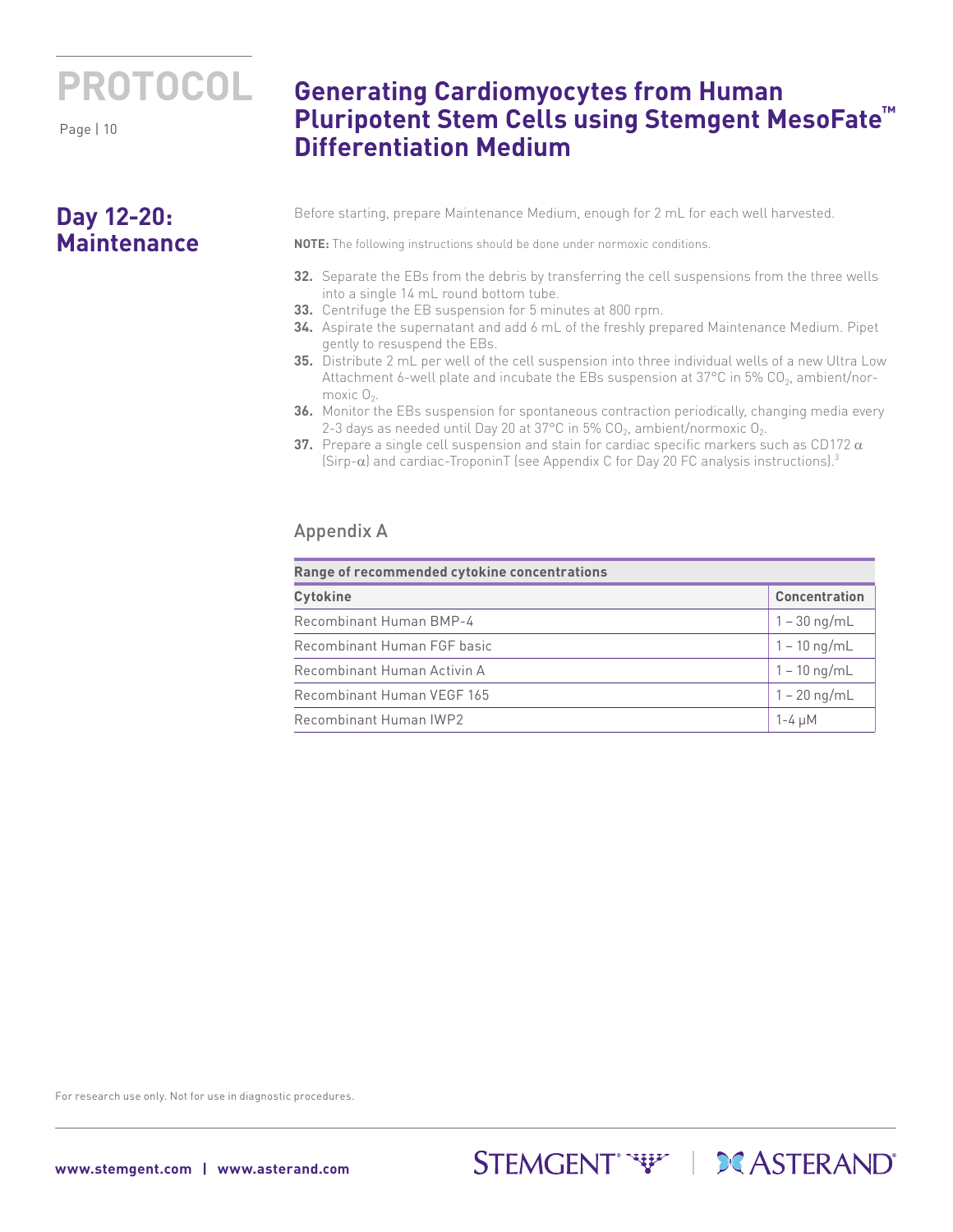Page | 10

### **Day 12-20: Maintenance**

## **Generating Cardiomyocytes from Human Pluripotent Stem Cells using Stemgent MesoFate™ Differentiation Medium**

Before starting, prepare Maintenance Medium, enough for 2 mL for each well harvested.

**NOTE:** The following instructions should be done under normoxic conditions.

- **32.** Separate the EBs from the debris by transferring the cell suspensions from the three wells into a single 14 mL round bottom tube.
- **33.** Centrifuge the EB suspension for 5 minutes at 800 rpm.
- **34.** Aspirate the supernatant and add 6 mL of the freshly prepared Maintenance Medium. Pipet gently to resuspend the EBs.
- **35.** Distribute 2 mL per well of the cell suspension into three individual wells of a new Ultra Low Attachment 6-well plate and incubate the EBs suspension at  $37^{\circ}$ C in 5% CO<sub>2</sub>, ambient/normoxic  $O<sub>2</sub>$ .
- **36.** Monitor the EBs suspension for spontaneous contraction periodically, changing media every 2-3 days as needed until Day 20 at 37°C in 5%  $CO<sub>2</sub>$ , ambient/normoxic  $O<sub>2</sub>$ .
- **37.** Prepare a single cell suspension and stain for cardiac specific markers such as CD172 α (Sirp-α) and cardiac-TroponinT (see Appendix C for Day 20 FC analysis instructions).3

### Appendix A

| Range of recommended cytokine concentrations |                        |  |  |
|----------------------------------------------|------------------------|--|--|
| <b>Cytokine</b>                              | <b>Concentration</b>   |  |  |
| Recombinant Human BMP-4                      | $1 - 30$ ng/mL         |  |  |
| Recombinant Human FGF basic                  | $1 - 10 \text{ ng/mL}$ |  |  |
| Recombinant Human Activin A                  | $1 - 10$ ng/mL         |  |  |
| Recombinant Human VEGF 165                   | $1 - 20$ ng/mL         |  |  |
| Recombinant Human IWP2                       | $1-4 \mu M$            |  |  |

STEMGENT<sup>"</sup> "\" | DCASTERAND"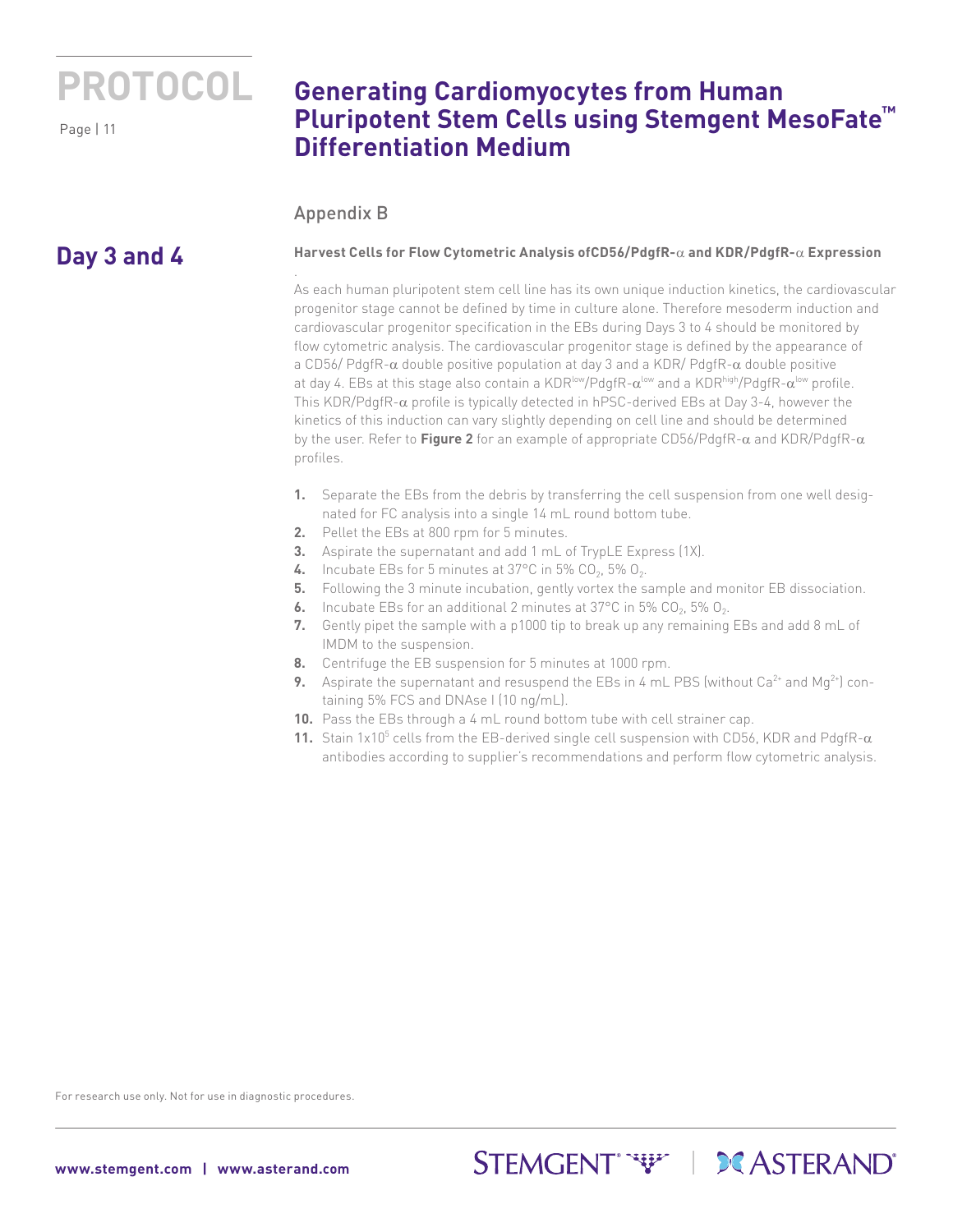Page | 11

## **Generating Cardiomyocytes from Human Pluripotent Stem Cells using Stemgent MesoFate™ Differentiation Medium**

### Appendix B

.

## **Day 3 and 4**

#### **Harvest Cells for Flow Cytometric Analysis ofCD56/PdgfR-**α **and KDR/PdgfR-**α **Expression**

As each human pluripotent stem cell line has its own unique induction kinetics, the cardiovascular progenitor stage cannot be defined by time in culture alone. Therefore mesoderm induction and cardiovascular progenitor specification in the EBs during Days 3 to 4 should be monitored by flow cytometric analysis. The cardiovascular progenitor stage is defined by the appearance of a CD56/ PdgfR-α double positive population at day 3 and a KDR/ PdgfR-α double positive at day 4. EBs at this stage also contain a KDR<sup>low</sup>/PdgfR- $\alpha^{low}$  and a KDR<sup>high</sup>/PdgfR- $\alpha^{low}$  profile. This KDR/PdgfR-α profile is typically detected in hPSC-derived EBs at Day 3-4, however the kinetics of this induction can vary slightly depending on cell line and should be determined by the user. Refer to **Figure 2** for an example of appropriate CD56/PdgfR-α and KDR/PdgfR-α profiles.

- **1.** Separate the EBs from the debris by transferring the cell suspension from one well designated for FC analysis into a single 14 mL round bottom tube.
- **2.** Pellet the EBs at 800 rpm for 5 minutes.
- **3.** Aspirate the supernatant and add 1 mL of TrypLE Express (1X).
- **4.** Incubate EBs for 5 minutes at 37 $^{\circ}$ C in 5% CO<sub>2</sub>, 5% O<sub>2</sub>.
- **5.** Following the 3 minute incubation, gently vortex the sample and monitor EB dissociation.
- **6.** Incubate EBs for an additional 2 minutes at  $37^{\circ}$ C in 5% CO<sub>2</sub>, 5% O<sub>2</sub>.
- **7.** Gently pipet the sample with a p1000 tip to break up any remaining EBs and add 8 mL of IMDM to the suspension.
- **8.** Centrifuge the EB suspension for 5 minutes at 1000 rpm.
- **9.** Aspirate the supernatant and resuspend the EBs in 4 mL PBS (without  $Ca^{2+}$  and  $Mg^{2+}$ ) containing 5% FCS and DNAse I (10 ng/mL).
- **10.** Pass the EBs through a 4 mL round bottom tube with cell strainer cap.
- **11.** Stain 1x10<sup>5</sup> cells from the EB-derived single cell suspension with CD56, KDR and PdgfR- $\alpha$ antibodies according to supplier's recommendations and perform flow cytometric analysis.

STEMGENT WELL DE ASTERAND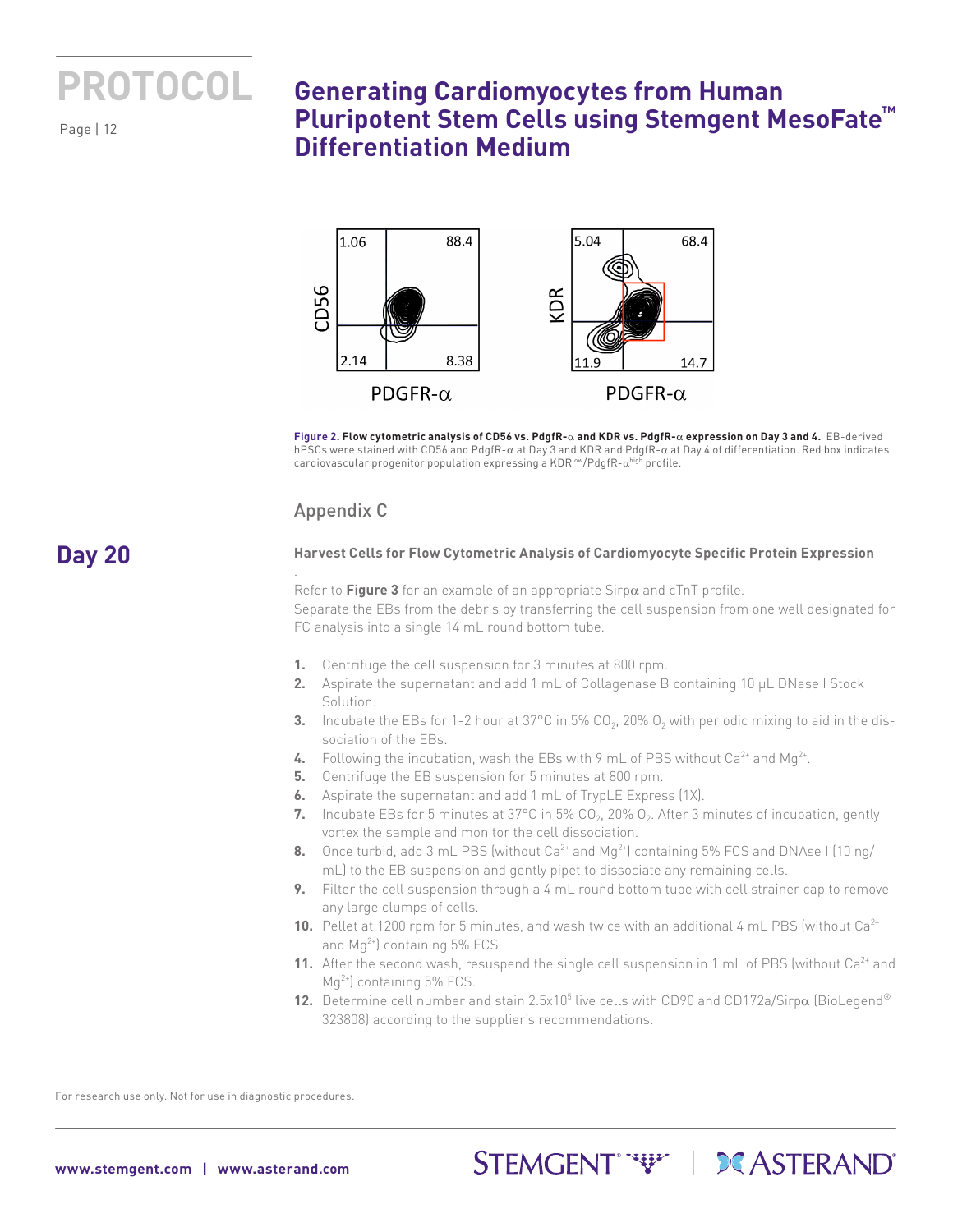

**Day 20**

## **Generating Cardiomyocytes from Human Pluripotent Stem Cells using Stemgent MesoFate™ Differentiation Medium**



**Figure 2. Flow cytometric analysis of CD56 vs. PdgfR-**α **and KDR vs. PdgfR-**α **expression on Day 3 and 4.** EB-derived hPSCs were stained with CD56 and PdgfR-α at Day 3 and KDR and PdgfR-α at Day 4 of differentiation. Red box indicates cardiovascular progenitor population expressing a KDR<sup>low</sup>/PdgfR- $\alpha^{\text{high}}$  profile.

### Appendix C

.

#### **Harvest Cells for Flow Cytometric Analysis of Cardiomyocyte Specific Protein Expression**

Refer to **Figure 3** for an example of an appropriate Sirpα and cTnT profile. Separate the EBs from the debris by transferring the cell suspension from one well designated for FC analysis into a single 14 mL round bottom tube.

- **1.** Centrifuge the cell suspension for 3 minutes at 800 rpm.
- **2.** Aspirate the supernatant and add 1 mL of Collagenase B containing 10 μL DNase I Stock Solution.
- **3.** Incubate the EBs for 1-2 hour at  $37^{\circ}$ C in 5% CO<sub>2</sub>, 20% O<sub>2</sub> with periodic mixing to aid in the dissociation of the EBs.
- **4.** Following the incubation, wash the EBs with 9 mL of PBS without Ca<sup>2+</sup> and Mq<sup>2+</sup>.
- **5.** Centrifuge the EB suspension for 5 minutes at 800 rpm.
- **6.** Aspirate the supernatant and add 1 mL of TrypLE Express (1X).
- **7.** Incubate EBs for 5 minutes at 37°C in 5% CO<sub>2</sub>, 20% O<sub>2</sub>. After 3 minutes of incubation, gently vortex the sample and monitor the cell dissociation.
- **8.** Once turbid, add 3 mL PBS (without Ca<sup>2+</sup> and Mg<sup>2+</sup>) containing 5% FCS and DNAse I (10 ng/ mL) to the EB suspension and gently pipet to dissociate any remaining cells.
- **9.** Filter the cell suspension through a 4 mL round bottom tube with cell strainer cap to remove any large clumps of cells.
- **10.** Pellet at 1200 rpm for 5 minutes, and wash twice with an additional 4 mL PBS (without Ca<sup>2+</sup> and  $Mq^{2+}$ ) containing 5% FCS.
- **11.** After the second wash, resuspend the single cell suspension in 1 mL of PBS (without Ca<sup>2+</sup> and  $Mq^{2+}$ ) containing 5% FCS.
- **12.** Determine cell number and stain 2.5x10<sup>5</sup> live cells with CD90 and CD172a/Sirpα (BioLegend® 323808) according to the supplier's recommendations.

STEMGENT WE I DCASTERAND